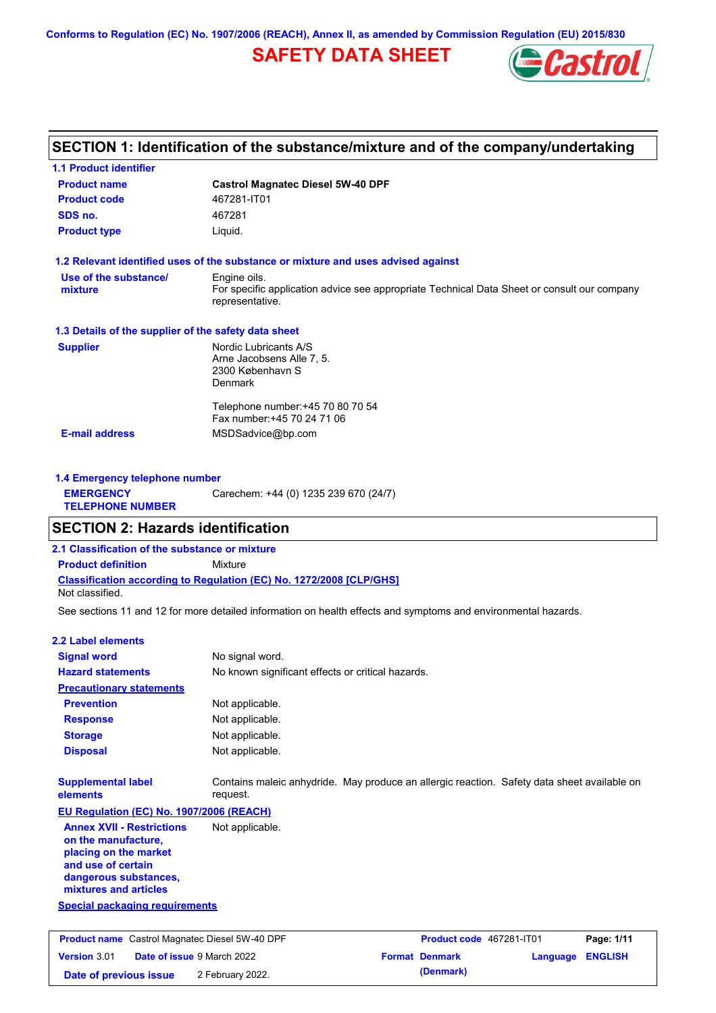**Conforms to Regulation (EC) No. 1907/2006 (REACH), Annex II, as amended by Commission Regulation (EU) 2015/830**

## **SAFETY DATA SHEET**



## **SECTION 1: Identification of the substance/mixture and of the company/undertaking**

| <b>1.1 Product identifier</b>                        |                                                                                                                |
|------------------------------------------------------|----------------------------------------------------------------------------------------------------------------|
| <b>Product name</b>                                  | <b>Castrol Magnatec Diesel 5W-40 DPF</b>                                                                       |
| <b>Product code</b>                                  | 467281-IT01                                                                                                    |
| SDS no.                                              | 467281                                                                                                         |
| <b>Product type</b>                                  | Liquid.                                                                                                        |
|                                                      | 1.2 Relevant identified uses of the substance or mixture and uses advised against                              |
| Use of the substance/                                | Engine oils.                                                                                                   |
| mixture                                              | For specific application advice see appropriate Technical Data Sheet or consult our company<br>representative. |
| 1.3 Details of the supplier of the safety data sheet |                                                                                                                |
| <b>Supplier</b>                                      | Nordic Lubricants A/S                                                                                          |
|                                                      | Arne Jacobsens Alle 7, 5.                                                                                      |
|                                                      | 2300 København S<br><b>Denmark</b>                                                                             |
|                                                      | Telephone number: +45 70 80 70 54                                                                              |
|                                                      | Fax number: +45 70 24 71 06                                                                                    |
| <b>E-mail address</b>                                | MSDSadvice@bp.com                                                                                              |
|                                                      |                                                                                                                |
| 1.4 Emergency telephone number                       |                                                                                                                |

|                                             | <b>1.4 Emergency telephone number</b> |  |  |  |  |
|---------------------------------------------|---------------------------------------|--|--|--|--|
| <b>EMERGENCY</b><br><b>TELEPHONE NUMBER</b> | Carechem: +44 (0) 1235 239 670 (24/7) |  |  |  |  |
|                                             |                                       |  |  |  |  |

### **SECTION 2: Hazards identification**

**2.1 Classification of the substance or mixture**

**Classification according to Regulation (EC) No. 1272/2008 [CLP/GHS] Product definition** Mixture

**Date of previous issue** 2 February 2022.

Not classified.

See sections 11 and 12 for more detailed information on health effects and symptoms and environmental hazards.

#### **2.2 Label elements**

| <b>Signal word</b>                                                                                                                                       | No signal word.                                                                                         |                          |          |                |
|----------------------------------------------------------------------------------------------------------------------------------------------------------|---------------------------------------------------------------------------------------------------------|--------------------------|----------|----------------|
| <b>Hazard statements</b>                                                                                                                                 | No known significant effects or critical hazards.                                                       |                          |          |                |
| <b>Precautionary statements</b>                                                                                                                          |                                                                                                         |                          |          |                |
| <b>Prevention</b>                                                                                                                                        | Not applicable.                                                                                         |                          |          |                |
| <b>Response</b>                                                                                                                                          | Not applicable.                                                                                         |                          |          |                |
| <b>Storage</b>                                                                                                                                           | Not applicable.                                                                                         |                          |          |                |
| <b>Disposal</b>                                                                                                                                          | Not applicable.                                                                                         |                          |          |                |
| <b>Supplemental label</b><br>elements                                                                                                                    | Contains maleic anhydride. May produce an allergic reaction. Safety data sheet available on<br>request. |                          |          |                |
| EU Regulation (EC) No. 1907/2006 (REACH)                                                                                                                 |                                                                                                         |                          |          |                |
| <b>Annex XVII - Restrictions</b><br>on the manufacture,<br>placing on the market<br>and use of certain<br>dangerous substances,<br>mixtures and articles | Not applicable.                                                                                         |                          |          |                |
| <b>Special packaging requirements</b>                                                                                                                    |                                                                                                         |                          |          |                |
| <b>Product name</b> Castrol Magnatec Diesel 5W-40 DPF                                                                                                    |                                                                                                         | Product code 467281-IT01 |          | Page: 1/11     |
| <b>Version 3.01</b><br>Date of issue 9 March 2022                                                                                                        |                                                                                                         | <b>Format Denmark</b>    | Language | <b>ENGLISH</b> |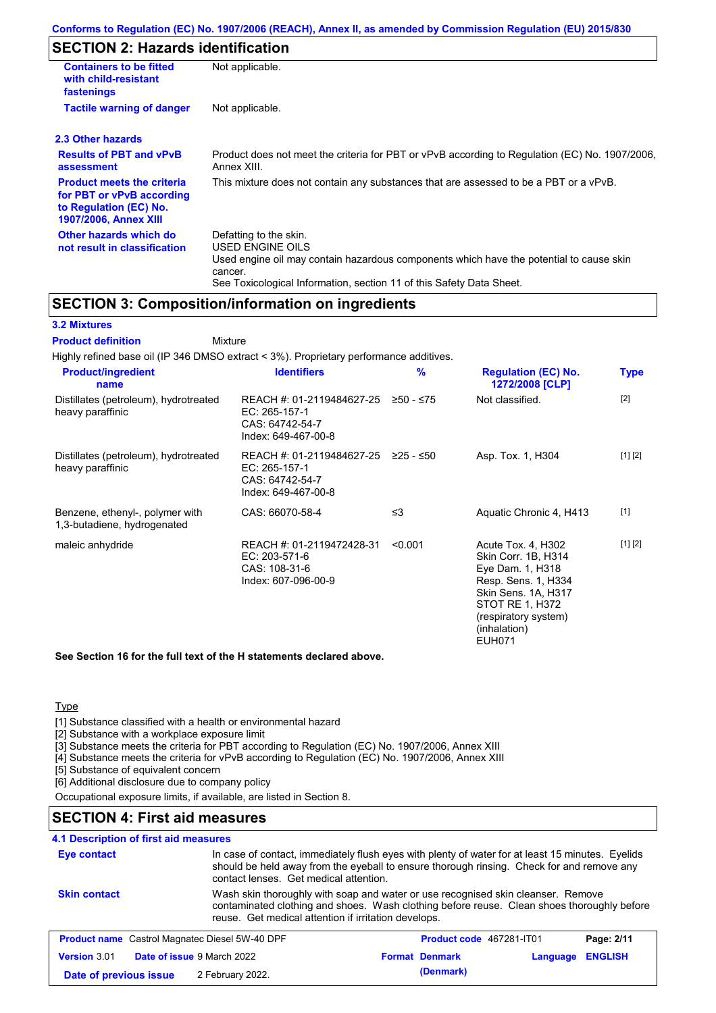## **SECTION 2: Hazards identification**

| <b>Containers to be fitted</b><br>with child-resistant<br>fastenings                                                     | Not applicable.                                                                                                                                                                                                          |
|--------------------------------------------------------------------------------------------------------------------------|--------------------------------------------------------------------------------------------------------------------------------------------------------------------------------------------------------------------------|
| <b>Tactile warning of danger</b>                                                                                         | Not applicable.                                                                                                                                                                                                          |
| 2.3 Other hazards                                                                                                        |                                                                                                                                                                                                                          |
| <b>Results of PBT and vPvB</b><br>assessment                                                                             | Product does not meet the criteria for PBT or vPvB according to Regulation (EC) No. 1907/2006,<br>Annex XIII.                                                                                                            |
| <b>Product meets the criteria</b><br>for PBT or vPvB according<br>to Regulation (EC) No.<br><b>1907/2006, Annex XIII</b> | This mixture does not contain any substances that are assessed to be a PBT or a vPvB.                                                                                                                                    |
| Other hazards which do<br>not result in classification                                                                   | Defatting to the skin.<br>USED ENGINE OILS<br>Used engine oil may contain hazardous components which have the potential to cause skin<br>cancer.<br>See Toxicological Information, section 11 of this Safety Data Sheet. |

### **SECTION 3: Composition/information on ingredients**

#### **3.2 Mixtures**

Mixture **Product definition**

| <b>Product/ingredient</b><br>name                              | <b>Identifiers</b>                                                                   | $\%$      | <b>Regulation (EC) No.</b><br>1272/2008 [CLP]                                                                                                                                    | <b>Type</b> |
|----------------------------------------------------------------|--------------------------------------------------------------------------------------|-----------|----------------------------------------------------------------------------------------------------------------------------------------------------------------------------------|-------------|
| Distillates (petroleum), hydrotreated<br>heavy paraffinic      | REACH #: 01-2119484627-25<br>EC: 265-157-1<br>CAS: 64742-54-7<br>Index: 649-467-00-8 | ≥50 - ≤75 | Not classified.                                                                                                                                                                  | $[2]$       |
| Distillates (petroleum), hydrotreated<br>heavy paraffinic      | REACH #: 01-2119484627-25<br>EC: 265-157-1<br>CAS: 64742-54-7<br>Index: 649-467-00-8 | ≥25 - ≤50 | Asp. Tox. 1, H304                                                                                                                                                                | [1] [2]     |
| Benzene, ethenyl-, polymer with<br>1,3-butadiene, hydrogenated | CAS: 66070-58-4                                                                      | ≤3        | Aquatic Chronic 4, H413                                                                                                                                                          | $[1]$       |
| maleic anhydride                                               | REACH #: 01-2119472428-31<br>EC: 203-571-6<br>CAS: 108-31-6<br>Index: 607-096-00-9   | < 0.001   | Acute Tox. 4, H302<br>Skin Corr. 1B, H314<br>Eye Dam. 1, H318<br>Resp. Sens. 1, H334<br>Skin Sens. 1A, H317<br>STOT RE 1, H372<br>(respiratory system)<br>(inhalation)<br>EUH071 | [1] [2]     |

**See Section 16 for the full text of the H statements declared above.**

### **Type**

[1] Substance classified with a health or environmental hazard

[2] Substance with a workplace exposure limit

[3] Substance meets the criteria for PBT according to Regulation (EC) No. 1907/2006, Annex XIII

[4] Substance meets the criteria for vPvB according to Regulation (EC) No. 1907/2006, Annex XIII

[5] Substance of equivalent concern

[6] Additional disclosure due to company policy

Occupational exposure limits, if available, are listed in Section 8.

### **SECTION 4: First aid measures**

## **4.1 Description of first aid measures**

| Eye contact            | contact lenses. Get medical attention.                | In case of contact, immediately flush eyes with plenty of water for at least 15 minutes. Eyelids<br>should be held away from the eyeball to ensure thorough rinsing. Check for and remove any                                          |                            |  |
|------------------------|-------------------------------------------------------|----------------------------------------------------------------------------------------------------------------------------------------------------------------------------------------------------------------------------------------|----------------------------|--|
| <b>Skin contact</b>    |                                                       | Wash skin thoroughly with soap and water or use recognised skin cleanser. Remove<br>contaminated clothing and shoes. Wash clothing before reuse. Clean shoes thoroughly before<br>reuse. Get medical attention if irritation develops. |                            |  |
|                        | <b>Product name</b> Castrol Magnatec Diesel 5W-40 DPF | Product code 467281-IT01                                                                                                                                                                                                               | Page: 2/11                 |  |
| Version 3.01           | Date of issue 9 March 2022                            | <b>Format Denmark</b>                                                                                                                                                                                                                  | <b>ENGLISH</b><br>Language |  |
| Date of previous issue | 2 February 2022.                                      | (Denmark)                                                                                                                                                                                                                              |                            |  |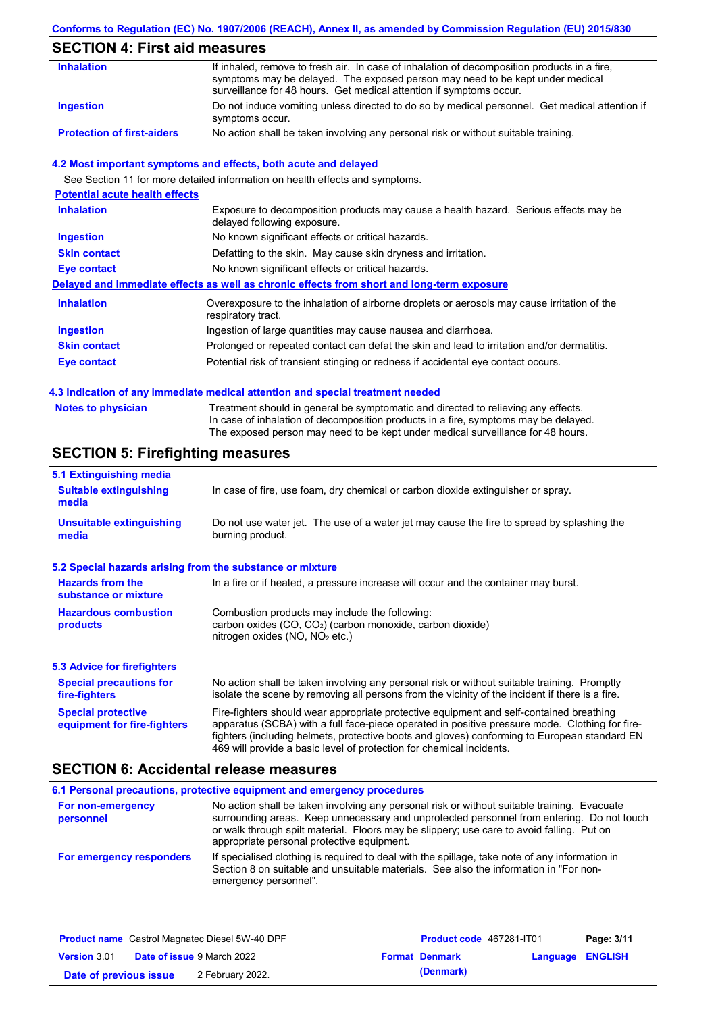### **Conforms to Regulation (EC) No. 1907/2006 (REACH), Annex II, as amended by Commission Regulation (EU) 2015/830**

## **SECTION 4: First aid measures**

| <b>Inhalation</b>                 | If inhaled, remove to fresh air. In case of inhalation of decomposition products in a fire,<br>symptoms may be delayed. The exposed person may need to be kept under medical<br>surveillance for 48 hours. Get medical attention if symptoms occur. |
|-----------------------------------|-----------------------------------------------------------------------------------------------------------------------------------------------------------------------------------------------------------------------------------------------------|
| Ingestion                         | Do not induce vomiting unless directed to do so by medical personnel. Get medical attention if<br>symptoms occur.                                                                                                                                   |
| <b>Protection of first-aiders</b> | No action shall be taken involving any personal risk or without suitable training.                                                                                                                                                                  |

#### **4.2 Most important symptoms and effects, both acute and delayed**

See Section 11 for more detailed information on health effects and symptoms.

| <b>Potential acute health effects</b> |                                                                                                                     |
|---------------------------------------|---------------------------------------------------------------------------------------------------------------------|
| <b>Inhalation</b>                     | Exposure to decomposition products may cause a health hazard. Serious effects may be<br>delayed following exposure. |
| <b>Ingestion</b>                      | No known significant effects or critical hazards.                                                                   |
| <b>Skin contact</b>                   | Defatting to the skin. May cause skin dryness and irritation.                                                       |
| Eye contact                           | No known significant effects or critical hazards.                                                                   |
|                                       | Delayed and immediate effects as well as chronic effects from short and long-term exposure                          |
| <b>Inhalation</b>                     | Overexposure to the inhalation of airborne droplets or aerosols may cause irritation of the<br>respiratory tract.   |
| <b>Ingestion</b>                      | Ingestion of large quantities may cause nausea and diarrhoea.                                                       |
| <b>Skin contact</b>                   | Prolonged or repeated contact can defat the skin and lead to irritation and/or dermatitis.                          |
| Eye contact                           | Potential risk of transient stinging or redness if accidental eye contact occurs.                                   |
|                                       |                                                                                                                     |

#### **4.3 Indication of any immediate medical attention and special treatment needed**

| <b>Notes to physician</b> | Treatment should in general be symptomatic and directed to relieving any effects.   |
|---------------------------|-------------------------------------------------------------------------------------|
|                           | In case of inhalation of decomposition products in a fire, symptoms may be delayed. |
|                           | The exposed person may need to be kept under medical surveillance for 48 hours.     |

## **SECTION 5: Firefighting measures**

| 5.1 Extinguishing media                                   |                                                                                                                                                                                                                                                                                                                                                                   |
|-----------------------------------------------------------|-------------------------------------------------------------------------------------------------------------------------------------------------------------------------------------------------------------------------------------------------------------------------------------------------------------------------------------------------------------------|
| <b>Suitable extinguishing</b><br>media                    | In case of fire, use foam, dry chemical or carbon dioxide extinguisher or spray.                                                                                                                                                                                                                                                                                  |
| <b>Unsuitable extinguishing</b><br>media                  | Do not use water jet. The use of a water jet may cause the fire to spread by splashing the<br>burning product.                                                                                                                                                                                                                                                    |
| 5.2 Special hazards arising from the substance or mixture |                                                                                                                                                                                                                                                                                                                                                                   |
| <b>Hazards from the</b><br>substance or mixture           | In a fire or if heated, a pressure increase will occur and the container may burst.                                                                                                                                                                                                                                                                               |
| <b>Hazardous combustion</b><br>products                   | Combustion products may include the following:<br>carbon oxides $(CO, CO2)$ (carbon monoxide, carbon dioxide)<br>nitrogen oxides ( $NO$ , $NO2$ etc.)                                                                                                                                                                                                             |
| <b>5.3 Advice for firefighters</b>                        |                                                                                                                                                                                                                                                                                                                                                                   |
| <b>Special precautions for</b><br>fire-fighters           | No action shall be taken involving any personal risk or without suitable training. Promptly<br>isolate the scene by removing all persons from the vicinity of the incident if there is a fire.                                                                                                                                                                    |
| <b>Special protective</b><br>equipment for fire-fighters  | Fire-fighters should wear appropriate protective equipment and self-contained breathing<br>apparatus (SCBA) with a full face-piece operated in positive pressure mode. Clothing for fire-<br>fighters (including helmets, protective boots and gloves) conforming to European standard EN<br>469 will provide a basic level of protection for chemical incidents. |

## **SECTION 6: Accidental release measures**

|                                | 6.1 Personal precautions, protective equipment and emergency procedures                                                                                                                                                                                                                                                             |
|--------------------------------|-------------------------------------------------------------------------------------------------------------------------------------------------------------------------------------------------------------------------------------------------------------------------------------------------------------------------------------|
| For non-emergency<br>personnel | No action shall be taken involving any personal risk or without suitable training. Evacuate<br>surrounding areas. Keep unnecessary and unprotected personnel from entering. Do not touch<br>or walk through spilt material. Floors may be slippery; use care to avoid falling. Put on<br>appropriate personal protective equipment. |
| For emergency responders       | If specialised clothing is required to deal with the spillage, take note of any information in<br>Section 8 on suitable and unsuitable materials. See also the information in "For non-<br>emergency personnel".                                                                                                                    |

| <b>Product name</b> Castrol Magnatec Diesel 5W-40 DPF |  | <b>Product code</b> 467281-IT01   |  | Page: 3/11            |                         |  |
|-------------------------------------------------------|--|-----------------------------------|--|-----------------------|-------------------------|--|
| <b>Version 3.01</b>                                   |  | <b>Date of issue 9 March 2022</b> |  | <b>Format Denmark</b> | <b>Language ENGLISH</b> |  |
| Date of previous issue                                |  | 2 February 2022.                  |  | (Denmark)             |                         |  |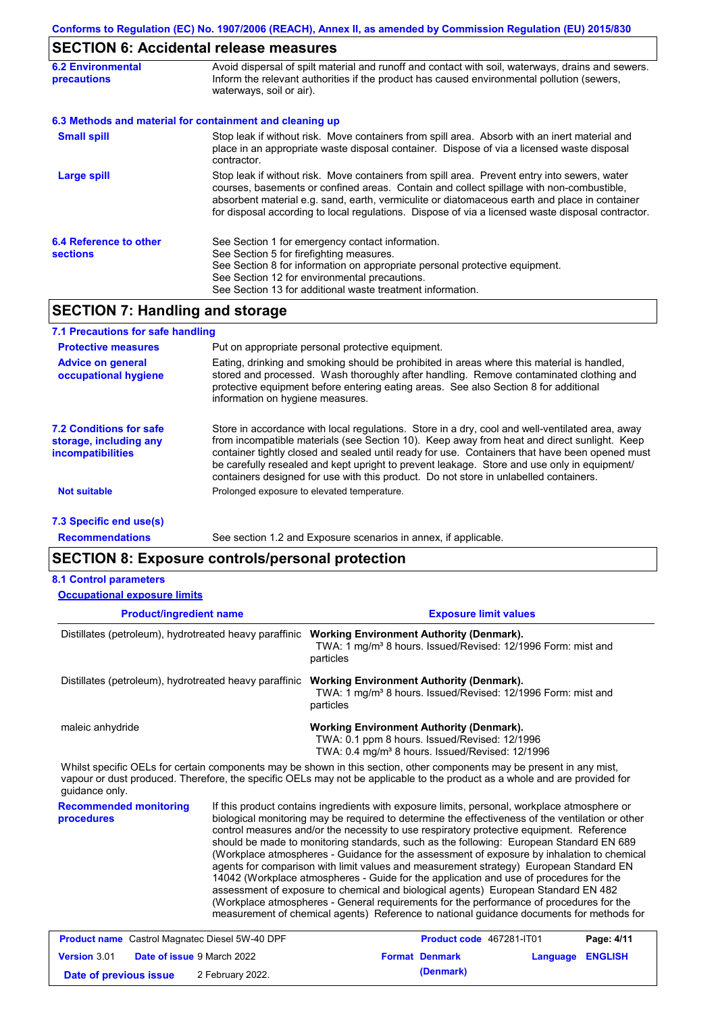# **SECTION 6: Accidental release measures**

| <b>6.2 Environmental</b><br><b>precautions</b> | Avoid dispersal of spilt material and runoff and contact with soil, waterways, drains and sewers.<br>Inform the relevant authorities if the product has caused environmental pollution (sewers,<br>waterways, soil or air).                                                                                                                                                                    |  |  |  |
|------------------------------------------------|------------------------------------------------------------------------------------------------------------------------------------------------------------------------------------------------------------------------------------------------------------------------------------------------------------------------------------------------------------------------------------------------|--|--|--|
|                                                | 6.3 Methods and material for containment and cleaning up                                                                                                                                                                                                                                                                                                                                       |  |  |  |
| <b>Small spill</b>                             | Stop leak if without risk. Move containers from spill area. Absorb with an inert material and<br>place in an appropriate waste disposal container. Dispose of via a licensed waste disposal<br>contractor.                                                                                                                                                                                     |  |  |  |
| Large spill                                    | Stop leak if without risk. Move containers from spill area. Prevent entry into sewers, water<br>courses, basements or confined areas. Contain and collect spillage with non-combustible,<br>absorbent material e.g. sand, earth, vermiculite or diatomaceous earth and place in container<br>for disposal according to local regulations. Dispose of via a licensed waste disposal contractor. |  |  |  |
| 6.4 Reference to other<br><b>sections</b>      | See Section 1 for emergency contact information.<br>See Section 5 for firefighting measures.<br>See Section 8 for information on appropriate personal protective equipment.<br>See Section 12 for environmental precautions.<br>See Section 13 for additional waste treatment information.                                                                                                     |  |  |  |

## **SECTION 7: Handling and storage**

| 7.1 Precautions for safe handling                                                    |                                                                                                                                                                                                                                                                                                                                                                                                                                                                                          |
|--------------------------------------------------------------------------------------|------------------------------------------------------------------------------------------------------------------------------------------------------------------------------------------------------------------------------------------------------------------------------------------------------------------------------------------------------------------------------------------------------------------------------------------------------------------------------------------|
| <b>Protective measures</b>                                                           | Put on appropriate personal protective equipment.                                                                                                                                                                                                                                                                                                                                                                                                                                        |
| <b>Advice on general</b><br>occupational hygiene                                     | Eating, drinking and smoking should be prohibited in areas where this material is handled,<br>stored and processed. Wash thoroughly after handling. Remove contaminated clothing and<br>protective equipment before entering eating areas. See also Section 8 for additional<br>information on hygiene measures.                                                                                                                                                                         |
| <b>7.2 Conditions for safe</b><br>storage, including any<br><i>incompatibilities</i> | Store in accordance with local regulations. Store in a dry, cool and well-ventilated area, away<br>from incompatible materials (see Section 10). Keep away from heat and direct sunlight. Keep<br>container tightly closed and sealed until ready for use. Containers that have been opened must<br>be carefully resealed and kept upright to prevent leakage. Store and use only in equipment/<br>containers designed for use with this product. Do not store in unlabelled containers. |
| <b>Not suitable</b>                                                                  | Prolonged exposure to elevated temperature.                                                                                                                                                                                                                                                                                                                                                                                                                                              |
| 7.3 Specific end use(s)                                                              |                                                                                                                                                                                                                                                                                                                                                                                                                                                                                          |

**Recommendations**

See section 1.2 and Exposure scenarios in annex, if applicable.

## **SECTION 8: Exposure controls/personal protection**

| <b>8.1 Control parameters</b> |  |
|-------------------------------|--|
|-------------------------------|--|

| <b>Occupational exposure limits</b>                    |                                                                                                                                                                                                                                                                                                                                                                                                                                                                                                                                                                                                                                                                                                                                                                                                                                                                                                                                                        |                                                                                                                                                                                                                                                      |  |  |  |
|--------------------------------------------------------|--------------------------------------------------------------------------------------------------------------------------------------------------------------------------------------------------------------------------------------------------------------------------------------------------------------------------------------------------------------------------------------------------------------------------------------------------------------------------------------------------------------------------------------------------------------------------------------------------------------------------------------------------------------------------------------------------------------------------------------------------------------------------------------------------------------------------------------------------------------------------------------------------------------------------------------------------------|------------------------------------------------------------------------------------------------------------------------------------------------------------------------------------------------------------------------------------------------------|--|--|--|
| <b>Product/ingredient name</b>                         |                                                                                                                                                                                                                                                                                                                                                                                                                                                                                                                                                                                                                                                                                                                                                                                                                                                                                                                                                        | <b>Exposure limit values</b>                                                                                                                                                                                                                         |  |  |  |
| Distillates (petroleum), hydrotreated heavy paraffinic |                                                                                                                                                                                                                                                                                                                                                                                                                                                                                                                                                                                                                                                                                                                                                                                                                                                                                                                                                        | <b>Working Environment Authority (Denmark).</b><br>TWA: 1 mg/m <sup>3</sup> 8 hours. Issued/Revised: 12/1996 Form: mist and<br>particles                                                                                                             |  |  |  |
| Distillates (petroleum), hydrotreated heavy paraffinic |                                                                                                                                                                                                                                                                                                                                                                                                                                                                                                                                                                                                                                                                                                                                                                                                                                                                                                                                                        | <b>Working Environment Authority (Denmark).</b><br>TWA: 1 mg/m <sup>3</sup> 8 hours. Issued/Revised: 12/1996 Form: mist and<br>particles                                                                                                             |  |  |  |
| maleic anhydride                                       |                                                                                                                                                                                                                                                                                                                                                                                                                                                                                                                                                                                                                                                                                                                                                                                                                                                                                                                                                        | <b>Working Environment Authority (Denmark).</b><br>TWA: 0.1 ppm 8 hours. Issued/Revised: 12/1996<br>TWA: 0.4 mg/m <sup>3</sup> 8 hours. Issued/Revised: 12/1996                                                                                      |  |  |  |
| guidance only.                                         |                                                                                                                                                                                                                                                                                                                                                                                                                                                                                                                                                                                                                                                                                                                                                                                                                                                                                                                                                        | Whilst specific OELs for certain components may be shown in this section, other components may be present in any mist,<br>vapour or dust produced. Therefore, the specific OELs may not be applicable to the product as a whole and are provided for |  |  |  |
| <b>Recommended monitoring</b><br>procedures            | If this product contains ingredients with exposure limits, personal, workplace atmosphere or<br>biological monitoring may be required to determine the effectiveness of the ventilation or other<br>control measures and/or the necessity to use respiratory protective equipment. Reference<br>should be made to monitoring standards, such as the following: European Standard EN 689<br>(Workplace atmospheres - Guidance for the assessment of exposure by inhalation to chemical<br>agents for comparison with limit values and measurement strategy) European Standard EN<br>14042 (Workplace atmospheres - Guide for the application and use of procedures for the<br>assessment of exposure to chemical and biological agents) European Standard EN 482<br>(Workplace atmospheres - General requirements for the performance of procedures for the<br>measurement of chemical agents) Reference to national guidance documents for methods for |                                                                                                                                                                                                                                                      |  |  |  |

| <b>Product name</b> Castrol Magnatec Diesel 5W-40 DPF |  |                                   | <b>Product code</b> 467281-IT01 | Page: 4/11            |                         |  |
|-------------------------------------------------------|--|-----------------------------------|---------------------------------|-----------------------|-------------------------|--|
| <b>Version 3.01</b>                                   |  | <b>Date of issue 9 March 2022</b> |                                 | <b>Format Denmark</b> | <b>Language ENGLISH</b> |  |
| Date of previous issue                                |  | 2 February 2022.                  |                                 | (Denmark)             |                         |  |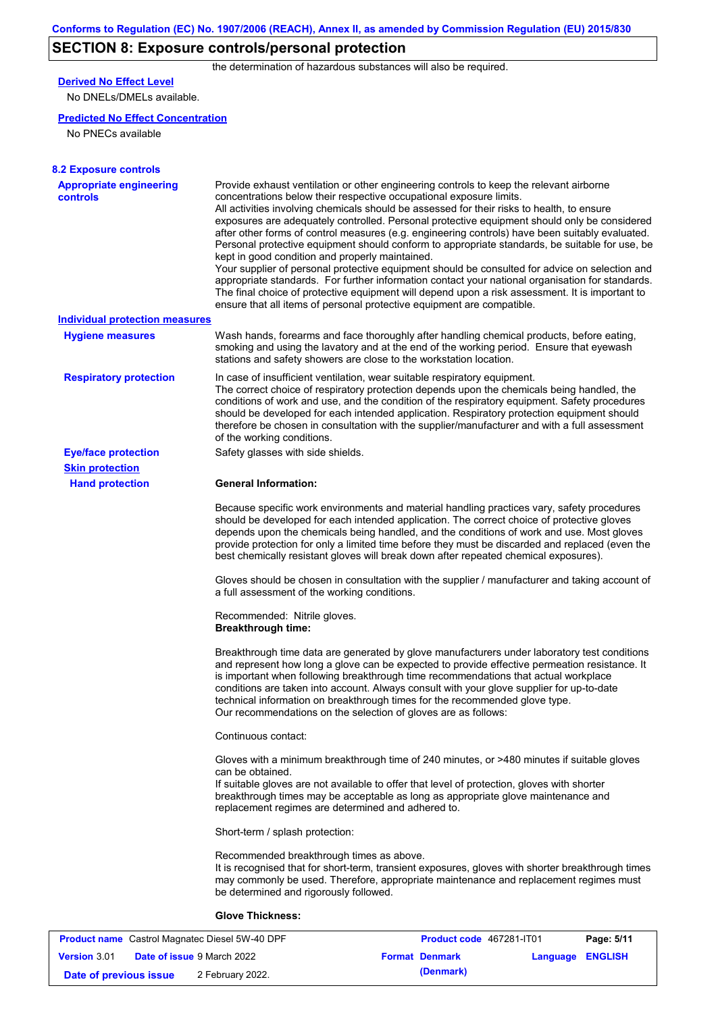# **SECTION 8: Exposure controls/personal protection**

the determination of hazardous substances will also be required.

## **Derived No Effect Level**

No DNELs/DMELs available.

### **Predicted No Effect Concentration**

No PNECs available

| <b>8.2 Exposure controls</b>                      |                                                                                                                                                                                                                                                                                                                                                                                                                                                                                                                                                                                                                                                                                                                                                                                                                                                                                                                                                                                                         |
|---------------------------------------------------|---------------------------------------------------------------------------------------------------------------------------------------------------------------------------------------------------------------------------------------------------------------------------------------------------------------------------------------------------------------------------------------------------------------------------------------------------------------------------------------------------------------------------------------------------------------------------------------------------------------------------------------------------------------------------------------------------------------------------------------------------------------------------------------------------------------------------------------------------------------------------------------------------------------------------------------------------------------------------------------------------------|
| <b>Appropriate engineering</b><br><b>controls</b> | Provide exhaust ventilation or other engineering controls to keep the relevant airborne<br>concentrations below their respective occupational exposure limits.<br>All activities involving chemicals should be assessed for their risks to health, to ensure<br>exposures are adequately controlled. Personal protective equipment should only be considered<br>after other forms of control measures (e.g. engineering controls) have been suitably evaluated.<br>Personal protective equipment should conform to appropriate standards, be suitable for use, be<br>kept in good condition and properly maintained.<br>Your supplier of personal protective equipment should be consulted for advice on selection and<br>appropriate standards. For further information contact your national organisation for standards.<br>The final choice of protective equipment will depend upon a risk assessment. It is important to<br>ensure that all items of personal protective equipment are compatible. |
| <b>Individual protection measures</b>             |                                                                                                                                                                                                                                                                                                                                                                                                                                                                                                                                                                                                                                                                                                                                                                                                                                                                                                                                                                                                         |
| <b>Hygiene measures</b>                           | Wash hands, forearms and face thoroughly after handling chemical products, before eating,<br>smoking and using the lavatory and at the end of the working period. Ensure that eyewash<br>stations and safety showers are close to the workstation location.                                                                                                                                                                                                                                                                                                                                                                                                                                                                                                                                                                                                                                                                                                                                             |
| <b>Respiratory protection</b>                     | In case of insufficient ventilation, wear suitable respiratory equipment.<br>The correct choice of respiratory protection depends upon the chemicals being handled, the<br>conditions of work and use, and the condition of the respiratory equipment. Safety procedures<br>should be developed for each intended application. Respiratory protection equipment should<br>therefore be chosen in consultation with the supplier/manufacturer and with a full assessment<br>of the working conditions.                                                                                                                                                                                                                                                                                                                                                                                                                                                                                                   |
| <b>Eye/face protection</b>                        | Safety glasses with side shields.                                                                                                                                                                                                                                                                                                                                                                                                                                                                                                                                                                                                                                                                                                                                                                                                                                                                                                                                                                       |
| <b>Skin protection</b>                            |                                                                                                                                                                                                                                                                                                                                                                                                                                                                                                                                                                                                                                                                                                                                                                                                                                                                                                                                                                                                         |
| <b>Hand protection</b>                            | <b>General Information:</b>                                                                                                                                                                                                                                                                                                                                                                                                                                                                                                                                                                                                                                                                                                                                                                                                                                                                                                                                                                             |
|                                                   | Because specific work environments and material handling practices vary, safety procedures<br>should be developed for each intended application. The correct choice of protective gloves<br>depends upon the chemicals being handled, and the conditions of work and use. Most gloves<br>provide protection for only a limited time before they must be discarded and replaced (even the<br>best chemically resistant gloves will break down after repeated chemical exposures).                                                                                                                                                                                                                                                                                                                                                                                                                                                                                                                        |
|                                                   | Gloves should be chosen in consultation with the supplier / manufacturer and taking account of<br>a full assessment of the working conditions.                                                                                                                                                                                                                                                                                                                                                                                                                                                                                                                                                                                                                                                                                                                                                                                                                                                          |
|                                                   | Recommended: Nitrile gloves.<br><b>Breakthrough time:</b>                                                                                                                                                                                                                                                                                                                                                                                                                                                                                                                                                                                                                                                                                                                                                                                                                                                                                                                                               |
|                                                   | Breakthrough time data are generated by glove manufacturers under laboratory test conditions<br>and represent how long a glove can be expected to provide effective permeation resistance. It<br>is important when following breakthrough time recommendations that actual workplace<br>conditions are taken into account. Always consult with your glove supplier for up-to-date<br>technical information on breakthrough times for the recommended glove type.<br>Our recommendations on the selection of gloves are as follows:                                                                                                                                                                                                                                                                                                                                                                                                                                                                      |
|                                                   | Continuous contact:                                                                                                                                                                                                                                                                                                                                                                                                                                                                                                                                                                                                                                                                                                                                                                                                                                                                                                                                                                                     |
|                                                   | Gloves with a minimum breakthrough time of 240 minutes, or >480 minutes if suitable gloves<br>can be obtained.<br>If suitable gloves are not available to offer that level of protection, gloves with shorter<br>breakthrough times may be acceptable as long as appropriate glove maintenance and<br>replacement regimes are determined and adhered to.                                                                                                                                                                                                                                                                                                                                                                                                                                                                                                                                                                                                                                                |
|                                                   | Short-term / splash protection:                                                                                                                                                                                                                                                                                                                                                                                                                                                                                                                                                                                                                                                                                                                                                                                                                                                                                                                                                                         |
|                                                   | Recommended breakthrough times as above.<br>It is recognised that for short-term, transient exposures, gloves with shorter breakthrough times<br>may commonly be used. Therefore, appropriate maintenance and replacement regimes must<br>be determined and rigorously followed.                                                                                                                                                                                                                                                                                                                                                                                                                                                                                                                                                                                                                                                                                                                        |
|                                                   | <b>Glove Thickness:</b>                                                                                                                                                                                                                                                                                                                                                                                                                                                                                                                                                                                                                                                                                                                                                                                                                                                                                                                                                                                 |
|                                                   |                                                                                                                                                                                                                                                                                                                                                                                                                                                                                                                                                                                                                                                                                                                                                                                                                                                                                                                                                                                                         |

| <b>Product name</b> Castrol Magnatec Diesel 5W-40 DPF |  | Product code 467281-IT01          | Page: 5/11            |                  |  |
|-------------------------------------------------------|--|-----------------------------------|-----------------------|------------------|--|
| <b>Version 3.01</b>                                   |  | <b>Date of issue 9 March 2022</b> | <b>Format Denmark</b> | Language ENGLISH |  |
| Date of previous issue                                |  | 2 February 2022.                  | (Denmark)             |                  |  |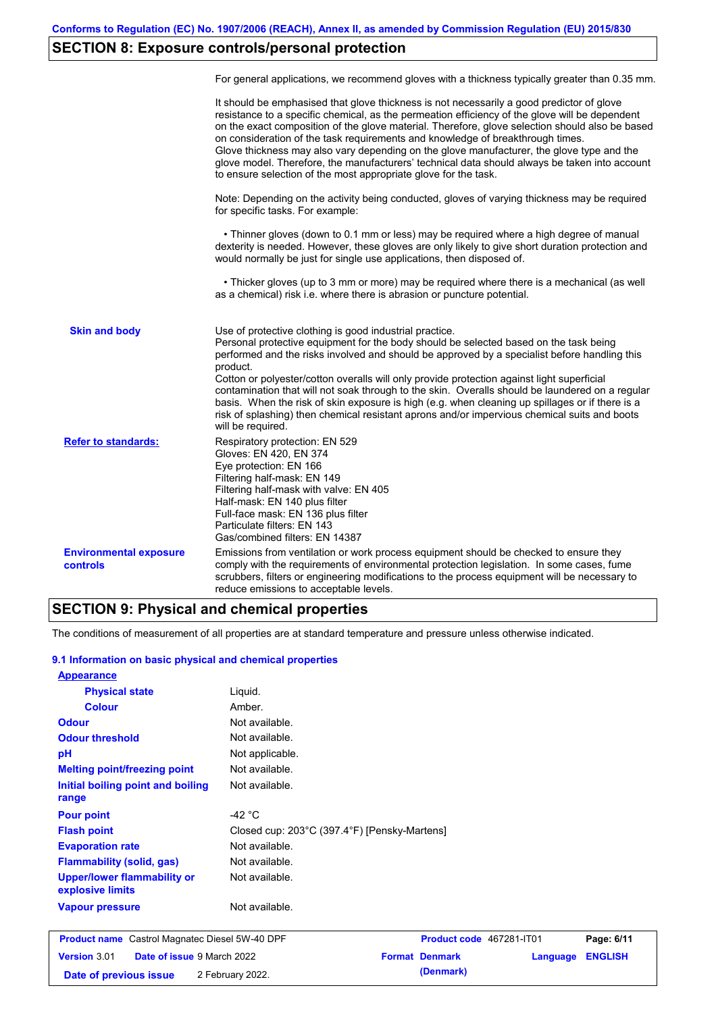# **SECTION 8: Exposure controls/personal protection**

|                                                  | For general applications, we recommend gloves with a thickness typically greater than 0.35 mm.                                                                                                                                                                                                                                                                                                                                                                                                                                                                                                                                                                                        |
|--------------------------------------------------|---------------------------------------------------------------------------------------------------------------------------------------------------------------------------------------------------------------------------------------------------------------------------------------------------------------------------------------------------------------------------------------------------------------------------------------------------------------------------------------------------------------------------------------------------------------------------------------------------------------------------------------------------------------------------------------|
|                                                  | It should be emphasised that glove thickness is not necessarily a good predictor of glove<br>resistance to a specific chemical, as the permeation efficiency of the glove will be dependent<br>on the exact composition of the glove material. Therefore, glove selection should also be based<br>on consideration of the task requirements and knowledge of breakthrough times.<br>Glove thickness may also vary depending on the glove manufacturer, the glove type and the<br>glove model. Therefore, the manufacturers' technical data should always be taken into account<br>to ensure selection of the most appropriate glove for the task.                                     |
|                                                  | Note: Depending on the activity being conducted, gloves of varying thickness may be required<br>for specific tasks. For example:                                                                                                                                                                                                                                                                                                                                                                                                                                                                                                                                                      |
|                                                  | • Thinner gloves (down to 0.1 mm or less) may be required where a high degree of manual<br>dexterity is needed. However, these gloves are only likely to give short duration protection and<br>would normally be just for single use applications, then disposed of.                                                                                                                                                                                                                                                                                                                                                                                                                  |
|                                                  | • Thicker gloves (up to 3 mm or more) may be required where there is a mechanical (as well<br>as a chemical) risk i.e. where there is abrasion or puncture potential.                                                                                                                                                                                                                                                                                                                                                                                                                                                                                                                 |
| <b>Skin and body</b>                             | Use of protective clothing is good industrial practice.<br>Personal protective equipment for the body should be selected based on the task being<br>performed and the risks involved and should be approved by a specialist before handling this<br>product.<br>Cotton or polyester/cotton overalls will only provide protection against light superficial<br>contamination that will not soak through to the skin. Overalls should be laundered on a regular<br>basis. When the risk of skin exposure is high (e.g. when cleaning up spillages or if there is a<br>risk of splashing) then chemical resistant aprons and/or impervious chemical suits and boots<br>will be required. |
| <b>Refer to standards:</b>                       | Respiratory protection: EN 529<br>Gloves: EN 420, EN 374<br>Eye protection: EN 166<br>Filtering half-mask: EN 149<br>Filtering half-mask with valve: EN 405<br>Half-mask: EN 140 plus filter<br>Full-face mask: EN 136 plus filter<br>Particulate filters: EN 143<br>Gas/combined filters: EN 14387                                                                                                                                                                                                                                                                                                                                                                                   |
| <b>Environmental exposure</b><br><b>controls</b> | Emissions from ventilation or work process equipment should be checked to ensure they<br>comply with the requirements of environmental protection legislation. In some cases, fume<br>scrubbers, filters or engineering modifications to the process equipment will be necessary to<br>reduce emissions to acceptable levels.                                                                                                                                                                                                                                                                                                                                                         |

### **SECTION 9: Physical and chemical properties**

The conditions of measurement of all properties are at standard temperature and pressure unless otherwise indicated.

#### **9.1 Information on basic physical and chemical properties**

| <b>Appearance</b>                                      |                                              |                          |            |
|--------------------------------------------------------|----------------------------------------------|--------------------------|------------|
| <b>Physical state</b>                                  | Liquid.                                      |                          |            |
| <b>Colour</b>                                          | Amber.                                       |                          |            |
| <b>Odour</b>                                           | Not available.                               |                          |            |
| <b>Odour threshold</b>                                 | Not available.                               |                          |            |
| pH                                                     | Not applicable.                              |                          |            |
| <b>Melting point/freezing point</b>                    | Not available.                               |                          |            |
| Initial boiling point and boiling<br>range             | Not available.                               |                          |            |
| <b>Pour point</b>                                      | -42 $^{\circ}$ C                             |                          |            |
| <b>Flash point</b>                                     | Closed cup: 203°C (397.4°F) [Pensky-Martens] |                          |            |
| <b>Evaporation rate</b>                                | Not available.                               |                          |            |
| <b>Flammability (solid, gas)</b>                       | Not available.                               |                          |            |
| <b>Upper/lower flammability or</b><br>explosive limits | Not available.                               |                          |            |
| <b>Vapour pressure</b>                                 | Not available.                               |                          |            |
| <b>Product name</b> Castrol Magnatec Diesel 5W-40 DPF  |                                              | Product code 467281-IT01 | Page: 6/11 |

|                        | <b>Product name</b> Castrol Magnatec Diesel 5W-40 DPF | <b>Product code</b> 40/281-1101 |                  | Page: 6/11 |
|------------------------|-------------------------------------------------------|---------------------------------|------------------|------------|
| <b>Version</b> $3.01$  | <b>Date of issue 9 March 2022</b>                     | <b>Format Denmark</b>           | Language ENGLISH |            |
| Date of previous issue | 2 February 2022.                                      | (Denmark)                       |                  |            |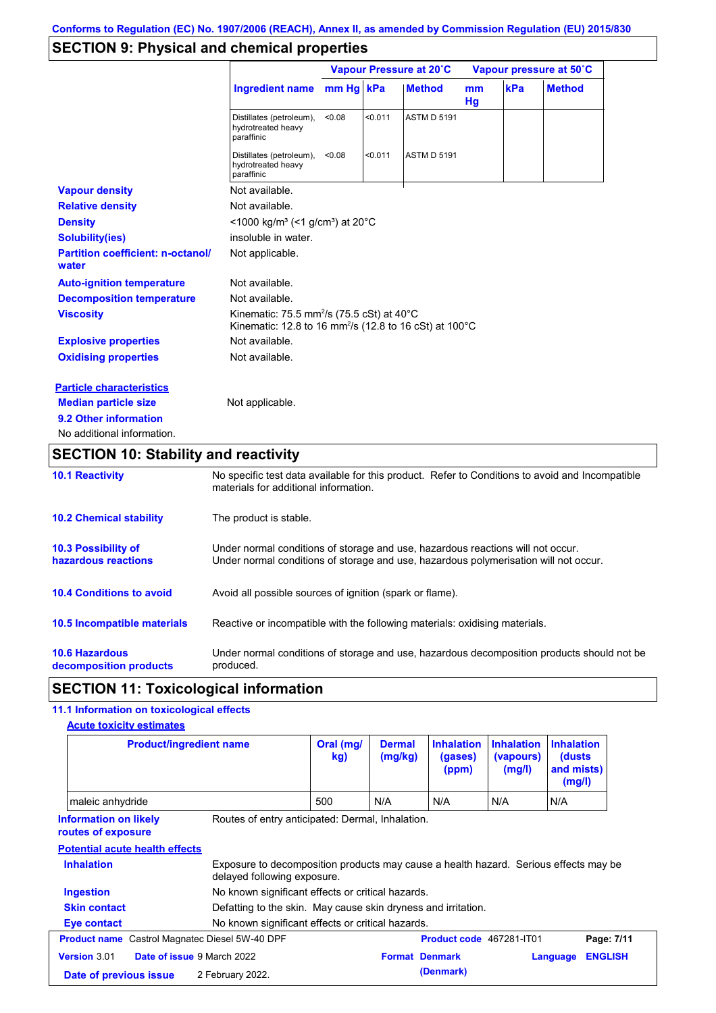## **SECTION 9: Physical and chemical properties**

|                                                   | Vapour Pressure at 20°C                                                                                                                 |           |         | Vapour pressure at 50°C |                     |     |               |
|---------------------------------------------------|-----------------------------------------------------------------------------------------------------------------------------------------|-----------|---------|-------------------------|---------------------|-----|---------------|
|                                                   | <b>Ingredient name</b>                                                                                                                  | mm Hg kPa |         | <b>Method</b>           | <sub>mm</sub><br>Hg | kPa | <b>Method</b> |
|                                                   | Distillates (petroleum),<br>hydrotreated heavy<br>paraffinic                                                                            | < 0.08    | < 0.011 | <b>ASTM D 5191</b>      |                     |     |               |
|                                                   | Distillates (petroleum),<br>hydrotreated heavy<br>paraffinic                                                                            | < 0.08    | < 0.011 | <b>ASTM D 5191</b>      |                     |     |               |
| <b>Vapour density</b>                             | Not available.                                                                                                                          |           |         |                         |                     |     |               |
| <b>Relative density</b>                           | Not available.                                                                                                                          |           |         |                         |                     |     |               |
| <b>Density</b>                                    | <1000 kg/m <sup>3</sup> (<1 g/cm <sup>3</sup> ) at 20 <sup>°</sup> C                                                                    |           |         |                         |                     |     |               |
| <b>Solubility(ies)</b>                            | insoluble in water.                                                                                                                     |           |         |                         |                     |     |               |
| <b>Partition coefficient: n-octanol/</b><br>water | Not applicable.                                                                                                                         |           |         |                         |                     |     |               |
| <b>Auto-ignition temperature</b>                  | Not available.                                                                                                                          |           |         |                         |                     |     |               |
| <b>Decomposition temperature</b>                  | Not available.                                                                                                                          |           |         |                         |                     |     |               |
| <b>Viscosity</b>                                  | Kinematic: 75.5 mm <sup>2</sup> /s (75.5 cSt) at 40 $^{\circ}$ C<br>Kinematic: 12.8 to 16 mm <sup>2</sup> /s (12.8 to 16 cSt) at 100 °C |           |         |                         |                     |     |               |
| <b>Explosive properties</b>                       | Not available.                                                                                                                          |           |         |                         |                     |     |               |
| <b>Oxidising properties</b>                       | Not available.                                                                                                                          |           |         |                         |                     |     |               |
| <b>Particle characteristics</b>                   |                                                                                                                                         |           |         |                         |                     |     |               |
| <b>Median particle size</b>                       | Not applicable.                                                                                                                         |           |         |                         |                     |     |               |
| 9.2 Other information                             |                                                                                                                                         |           |         |                         |                     |     |               |
| No additional information.                        |                                                                                                                                         |           |         |                         |                     |     |               |

# **SECTION 10: Stability and reactivity**

| <b>10.1 Reactivity</b>                            | No specific test data available for this product. Refer to Conditions to avoid and Incompatible<br>materials for additional information.                                |
|---------------------------------------------------|-------------------------------------------------------------------------------------------------------------------------------------------------------------------------|
| <b>10.2 Chemical stability</b>                    | The product is stable.                                                                                                                                                  |
| <b>10.3 Possibility of</b><br>hazardous reactions | Under normal conditions of storage and use, hazardous reactions will not occur.<br>Under normal conditions of storage and use, hazardous polymerisation will not occur. |
| <b>10.4 Conditions to avoid</b>                   | Avoid all possible sources of ignition (spark or flame).                                                                                                                |
| <b>10.5 Incompatible materials</b>                | Reactive or incompatible with the following materials: oxidising materials.                                                                                             |
| <b>10.6 Hazardous</b><br>decomposition products   | Under normal conditions of storage and use, hazardous decomposition products should not be<br>produced.                                                                 |

## **SECTION 11: Toxicological information**

### **11.1 Information on toxicological effects**

**Acute toxicity estimates**

| <b>Product/ingredient name</b>                        |                                                               | Oral (mg/<br>kg) | <b>Dermal</b><br>(mg/kg) | <b>Inhalation</b><br>(gases)<br>(ppm) | <b>Inhalation</b><br>(vapours)<br>(mg/l) | <b>Inhalation</b><br>(dusts)<br>and mists)<br>(mg/l)                                 |
|-------------------------------------------------------|---------------------------------------------------------------|------------------|--------------------------|---------------------------------------|------------------------------------------|--------------------------------------------------------------------------------------|
| maleic anhydride                                      |                                                               | 500              | N/A                      | N/A                                   | N/A                                      | N/A                                                                                  |
| <b>Information on likely</b><br>routes of exposure    | Routes of entry anticipated: Dermal, Inhalation.              |                  |                          |                                       |                                          |                                                                                      |
| <b>Potential acute health effects</b>                 |                                                               |                  |                          |                                       |                                          |                                                                                      |
|                                                       |                                                               |                  |                          |                                       |                                          |                                                                                      |
| <b>Inhalation</b>                                     | delayed following exposure.                                   |                  |                          |                                       |                                          | Exposure to decomposition products may cause a health hazard. Serious effects may be |
| Ingestion                                             | No known significant effects or critical hazards.             |                  |                          |                                       |                                          |                                                                                      |
| <b>Skin contact</b>                                   | Defatting to the skin. May cause skin dryness and irritation. |                  |                          |                                       |                                          |                                                                                      |
| Eye contact                                           | No known significant effects or critical hazards.             |                  |                          |                                       |                                          |                                                                                      |
| <b>Product name</b> Castrol Magnatec Diesel 5W-40 DPF |                                                               |                  |                          | Product code 467281-IT01              |                                          | Page: 7/11                                                                           |
| Version 3.01<br>Date of issue 9 March 2022            |                                                               |                  | <b>Format Denmark</b>    |                                       |                                          | <b>ENGLISH</b><br>Language                                                           |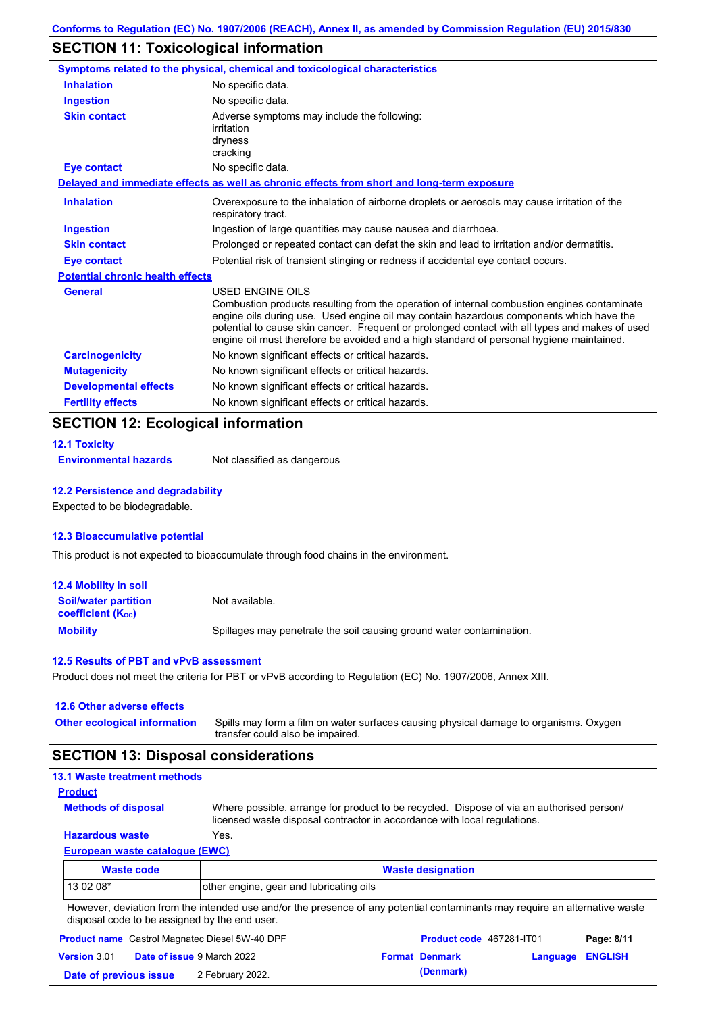## **SECTION 11: Toxicological information**

|                                         | Symptoms related to the physical, chemical and toxicological characteristics                                                                                                                                                                                                                                                                                                                                    |
|-----------------------------------------|-----------------------------------------------------------------------------------------------------------------------------------------------------------------------------------------------------------------------------------------------------------------------------------------------------------------------------------------------------------------------------------------------------------------|
| <b>Inhalation</b>                       | No specific data.                                                                                                                                                                                                                                                                                                                                                                                               |
| <b>Ingestion</b>                        | No specific data.                                                                                                                                                                                                                                                                                                                                                                                               |
| <b>Skin contact</b>                     | Adverse symptoms may include the following:<br>irritation<br>dryness<br>cracking                                                                                                                                                                                                                                                                                                                                |
| <b>Eye contact</b>                      | No specific data.                                                                                                                                                                                                                                                                                                                                                                                               |
|                                         | Delayed and immediate effects as well as chronic effects from short and long-term exposure                                                                                                                                                                                                                                                                                                                      |
| <b>Inhalation</b>                       | Overexposure to the inhalation of airborne droplets or aerosols may cause irritation of the<br>respiratory tract.                                                                                                                                                                                                                                                                                               |
| <b>Ingestion</b>                        | Ingestion of large quantities may cause nausea and diarrhoea.                                                                                                                                                                                                                                                                                                                                                   |
| <b>Skin contact</b>                     | Prolonged or repeated contact can defat the skin and lead to irritation and/or dermatitis.                                                                                                                                                                                                                                                                                                                      |
| <b>Eye contact</b>                      | Potential risk of transient stinging or redness if accidental eye contact occurs.                                                                                                                                                                                                                                                                                                                               |
| <b>Potential chronic health effects</b> |                                                                                                                                                                                                                                                                                                                                                                                                                 |
| <b>General</b>                          | <b>USED ENGINE OILS</b><br>Combustion products resulting from the operation of internal combustion engines contaminate<br>engine oils during use. Used engine oil may contain hazardous components which have the<br>potential to cause skin cancer. Frequent or prolonged contact with all types and makes of used<br>engine oil must therefore be avoided and a high standard of personal hygiene maintained. |
| <b>Carcinogenicity</b>                  | No known significant effects or critical hazards.                                                                                                                                                                                                                                                                                                                                                               |
| <b>Mutagenicity</b>                     | No known significant effects or critical hazards.                                                                                                                                                                                                                                                                                                                                                               |
| <b>Developmental effects</b>            | No known significant effects or critical hazards.                                                                                                                                                                                                                                                                                                                                                               |
| <b>Fertility effects</b>                | No known significant effects or critical hazards.                                                                                                                                                                                                                                                                                                                                                               |

### **SECTION 12: Ecological information**

|  | <b>12.1 Toxicity</b> |  |  |
|--|----------------------|--|--|
|  |                      |  |  |

**Environmental hazards** Not classified as dangerous

#### **12.2 Persistence and degradability**

Expected to be biodegradable.

#### **12.3 Bioaccumulative potential**

This product is not expected to bioaccumulate through food chains in the environment.

| 12.4 Mobility in soil                                         |                                                                      |
|---------------------------------------------------------------|----------------------------------------------------------------------|
| <b>Soil/water partition</b><br>coefficient (K <sub>oc</sub> ) | Not available.                                                       |
| <b>Mobility</b>                                               | Spillages may penetrate the soil causing ground water contamination. |

#### **12.5 Results of PBT and vPvB assessment**

Product does not meet the criteria for PBT or vPvB according to Regulation (EC) No. 1907/2006, Annex XIII.

### **12.6 Other adverse effects Other ecological information**

Spills may form a film on water surfaces causing physical damage to organisms. Oxygen transfer could also be impaired.

### **SECTION 13: Disposal considerations**

| <b>13.1 Waste treatment methods</b>   |                                                                                                                                                                      |
|---------------------------------------|----------------------------------------------------------------------------------------------------------------------------------------------------------------------|
| <b>Product</b>                        |                                                                                                                                                                      |
| <b>Methods of disposal</b>            | Where possible, arrange for product to be recycled. Dispose of via an authorised person/<br>licensed waste disposal contractor in accordance with local regulations. |
| <b>Hazardous waste</b>                | Yes.                                                                                                                                                                 |
| <b>European waste catalogue (EWC)</b> |                                                                                                                                                                      |
| <b>Waste code</b>                     | <b>Waste designation</b>                                                                                                                                             |
| 13 02 08*                             | other engine, gear and lubricating oils                                                                                                                              |

However, deviation from the intended use and/or the presence of any potential contaminants may require an alternative waste disposal code to be assigned by the end user.

|                        | <b>Product name</b> Castrol Magnatec Diesel 5W-40 DPF | <b>Product code</b> 467281-IT01 |                  | Page: 8/11 |
|------------------------|-------------------------------------------------------|---------------------------------|------------------|------------|
| <b>Version 3.01</b>    | <b>Date of issue 9 March 2022</b>                     | <b>Format Denmark</b>           | Language ENGLISH |            |
| Date of previous issue | 2 February 2022.                                      | (Denmark)                       |                  |            |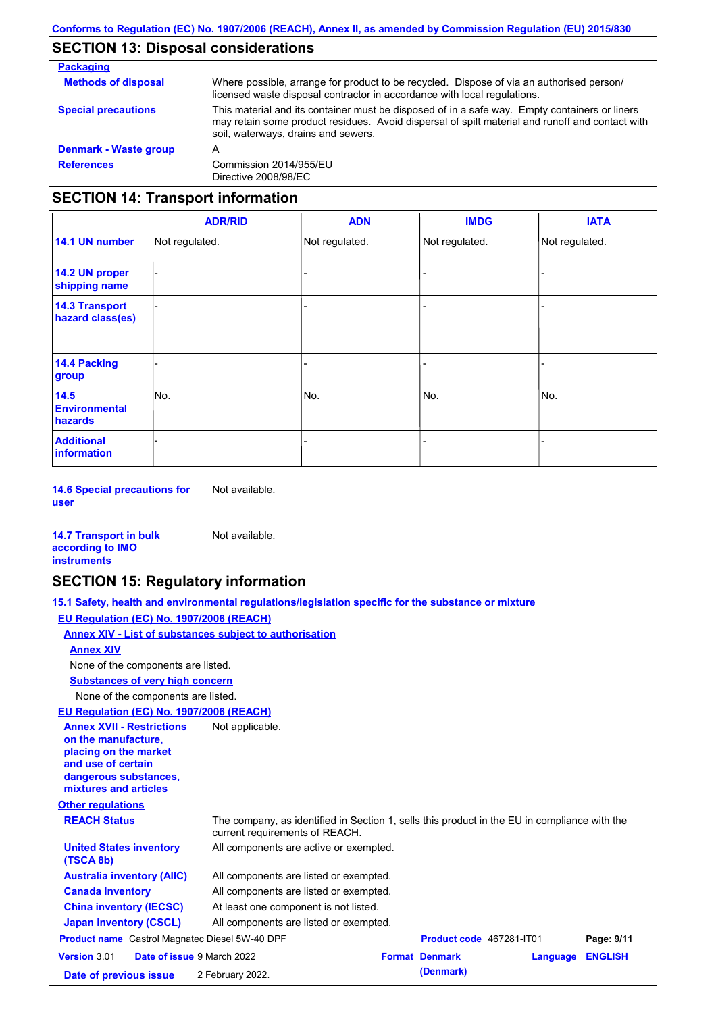# **SECTION 13: Disposal considerations**

| <b>Packaging</b>                         |                                                                                                                                                                                                                                         |
|------------------------------------------|-----------------------------------------------------------------------------------------------------------------------------------------------------------------------------------------------------------------------------------------|
| <b>Methods of disposal</b>               | Where possible, arrange for product to be recycled. Dispose of via an authorised person/<br>licensed waste disposal contractor in accordance with local regulations.                                                                    |
| <b>Special precautions</b>               | This material and its container must be disposed of in a safe way. Empty containers or liners<br>may retain some product residues. Avoid dispersal of spilt material and runoff and contact with<br>soil, waterways, drains and sewers. |
| Denmark - Waste group                    | А                                                                                                                                                                                                                                       |
| <b>References</b>                        | Commission 2014/955/EU<br>Directive 2008/98/EC                                                                                                                                                                                          |
| <b>SECTION 14: Transport information</b> |                                                                                                                                                                                                                                         |

|                                                | <b>ADR/RID</b> | <b>ADN</b>     | <b>IMDG</b>    | <b>IATA</b>    |
|------------------------------------------------|----------------|----------------|----------------|----------------|
| 14.1 UN number                                 | Not regulated. | Not regulated. | Not regulated. | Not regulated. |
| 14.2 UN proper<br>shipping name                |                |                | -              |                |
| <b>14.3 Transport</b><br>hazard class(es)      |                |                |                |                |
| 14.4 Packing<br>group                          |                |                |                |                |
| 14.5<br><b>Environmental</b><br><b>hazards</b> | No.            | No.            | No.            | No.            |
| <b>Additional</b><br>information               |                |                |                |                |

**14.6 Special precautions for user** Not available.

| <b>14.7 Transport in bulk</b> | Not available. |
|-------------------------------|----------------|
| according to <b>IMO</b>       |                |
| <b>instruments</b>            |                |

## **SECTION 15: Regulatory information**

|                                                                                                                                                          | 15.1 Safety, health and environmental regulations/legislation specific for the substance or mixture                            |                          |          |                |
|----------------------------------------------------------------------------------------------------------------------------------------------------------|--------------------------------------------------------------------------------------------------------------------------------|--------------------------|----------|----------------|
| EU Regulation (EC) No. 1907/2006 (REACH)                                                                                                                 |                                                                                                                                |                          |          |                |
|                                                                                                                                                          | <b>Annex XIV - List of substances subject to authorisation</b>                                                                 |                          |          |                |
| <b>Annex XIV</b>                                                                                                                                         |                                                                                                                                |                          |          |                |
| None of the components are listed.                                                                                                                       |                                                                                                                                |                          |          |                |
| <b>Substances of very high concern</b>                                                                                                                   |                                                                                                                                |                          |          |                |
| None of the components are listed.                                                                                                                       |                                                                                                                                |                          |          |                |
| EU Regulation (EC) No. 1907/2006 (REACH)                                                                                                                 |                                                                                                                                |                          |          |                |
| <b>Annex XVII - Restrictions</b><br>on the manufacture.<br>placing on the market<br>and use of certain<br>dangerous substances,<br>mixtures and articles | Not applicable.                                                                                                                |                          |          |                |
| <b>Other regulations</b>                                                                                                                                 |                                                                                                                                |                          |          |                |
| <b>REACH Status</b>                                                                                                                                      | The company, as identified in Section 1, sells this product in the EU in compliance with the<br>current requirements of REACH. |                          |          |                |
| <b>United States inventory</b><br>(TSCA 8b)                                                                                                              | All components are active or exempted.                                                                                         |                          |          |                |
| <b>Australia inventory (AIIC)</b>                                                                                                                        | All components are listed or exempted.                                                                                         |                          |          |                |
| <b>Canada inventory</b>                                                                                                                                  | All components are listed or exempted.                                                                                         |                          |          |                |
| <b>China inventory (IECSC)</b>                                                                                                                           | At least one component is not listed.                                                                                          |                          |          |                |
| <b>Japan inventory (CSCL)</b>                                                                                                                            | All components are listed or exempted.                                                                                         |                          |          |                |
| <b>Product name</b> Castrol Magnatec Diesel 5W-40 DPF                                                                                                    |                                                                                                                                | Product code 467281-IT01 |          | Page: 9/11     |
| Version 3.01                                                                                                                                             | Date of issue 9 March 2022                                                                                                     | <b>Format Denmark</b>    | Language | <b>ENGLISH</b> |
| Date of previous issue                                                                                                                                   | 2 February 2022.                                                                                                               | (Denmark)                |          |                |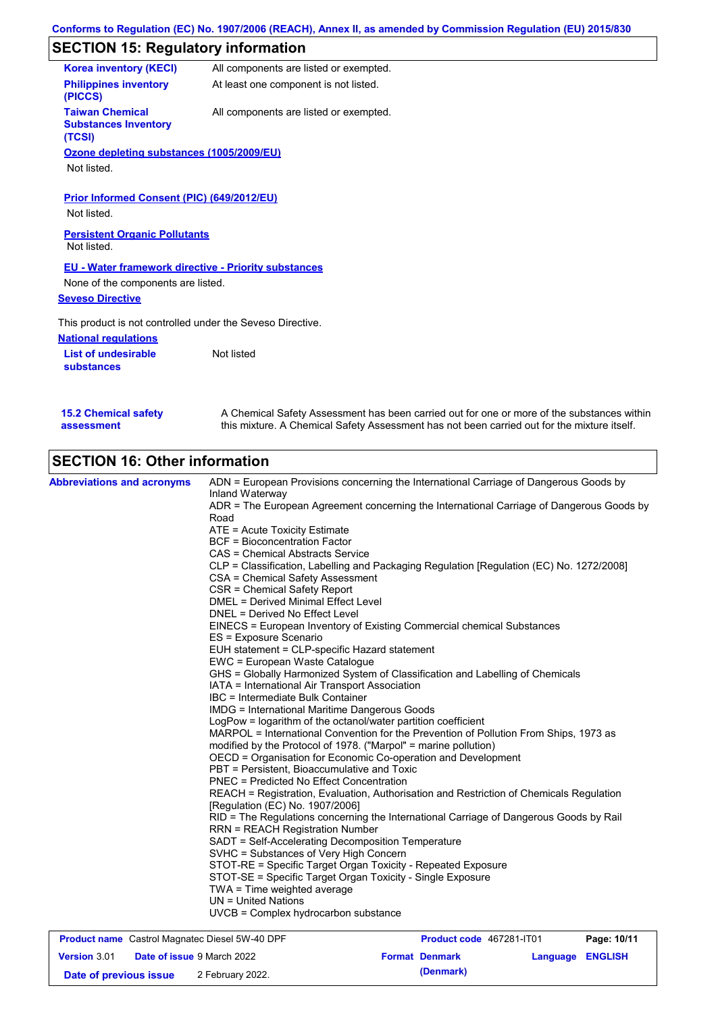## **SECTION 15: Regulatory information**

| <b>Korea inventory (KECI)</b>                                   | All components are listed or exempted. |
|-----------------------------------------------------------------|----------------------------------------|
| <b>Philippines inventory</b><br>(PICCS)                         | At least one component is not listed.  |
| <b>Taiwan Chemical</b><br><b>Substances Inventory</b><br>(TCSI) | All components are listed or exempted. |
| Ozone depleting substances (1005/2009/EU)                       |                                        |
| Not listed.                                                     |                                        |
|                                                                 |                                        |
| Prior Informed Consent (PIC) (649/2012/EU)                      |                                        |
| Not listed.                                                     |                                        |
| <b>Persistent Organic Pollutants</b><br>Not listed.             |                                        |
| <b>EU - Water framework directive - Priority substances</b>     |                                        |
| None of the components are listed.                              |                                        |
| <b>Seveso Directive</b>                                         |                                        |
| This product is not controlled under the Seveso Directive.      |                                        |
| <b>National regulations</b>                                     |                                        |
| <b>List of undesirable</b><br><b>substances</b>                 | Not listed                             |
|                                                                 |                                        |
|                                                                 |                                        |

| <b>15.2 Chemical safety</b> | A Chemical Safety Assessment has been carried out for one or more of the substances within  |
|-----------------------------|---------------------------------------------------------------------------------------------|
| assessment                  | this mixture. A Chemical Safety Assessment has not been carried out for the mixture itself. |
|                             |                                                                                             |

# **SECTION 16: Other information**

**Version** 3.01

|                                                       | Inland Waterway<br>ADR = The European Agreement concerning the International Carriage of Dangerous Goods by<br>Road<br>ATE = Acute Toxicity Estimate |                                |  |  |  |
|-------------------------------------------------------|------------------------------------------------------------------------------------------------------------------------------------------------------|--------------------------------|--|--|--|
|                                                       |                                                                                                                                                      |                                |  |  |  |
|                                                       |                                                                                                                                                      |                                |  |  |  |
|                                                       |                                                                                                                                                      |                                |  |  |  |
|                                                       | <b>BCF = Bioconcentration Factor</b><br>CAS = Chemical Abstracts Service                                                                             |                                |  |  |  |
|                                                       |                                                                                                                                                      |                                |  |  |  |
|                                                       | CSA = Chemical Safety Assessment                                                                                                                     |                                |  |  |  |
|                                                       | CSR = Chemical Safety Report                                                                                                                         |                                |  |  |  |
|                                                       | <b>DMEL = Derived Minimal Effect Level</b>                                                                                                           |                                |  |  |  |
|                                                       |                                                                                                                                                      | DNEL = Derived No Effect Level |  |  |  |
|                                                       | EINECS = European Inventory of Existing Commercial chemical Substances                                                                               |                                |  |  |  |
|                                                       | ES = Exposure Scenario                                                                                                                               |                                |  |  |  |
|                                                       | EUH statement = CLP-specific Hazard statement                                                                                                        |                                |  |  |  |
|                                                       | EWC = European Waste Catalogue                                                                                                                       |                                |  |  |  |
|                                                       | GHS = Globally Harmonized System of Classification and Labelling of Chemicals                                                                        |                                |  |  |  |
|                                                       | IATA = International Air Transport Association                                                                                                       |                                |  |  |  |
|                                                       | IBC = Intermediate Bulk Container                                                                                                                    |                                |  |  |  |
|                                                       | <b>IMDG</b> = International Maritime Dangerous Goods                                                                                                 |                                |  |  |  |
|                                                       | LogPow = logarithm of the octanol/water partition coefficient                                                                                        |                                |  |  |  |
|                                                       | MARPOL = International Convention for the Prevention of Pollution From Ships, 1973 as                                                                |                                |  |  |  |
|                                                       | modified by the Protocol of 1978. ("Marpol" = marine pollution)                                                                                      |                                |  |  |  |
|                                                       | OECD = Organisation for Economic Co-operation and Development                                                                                        |                                |  |  |  |
|                                                       | PBT = Persistent, Bioaccumulative and Toxic                                                                                                          |                                |  |  |  |
|                                                       | <b>PNEC = Predicted No Effect Concentration</b>                                                                                                      |                                |  |  |  |
|                                                       | REACH = Registration, Evaluation, Authorisation and Restriction of Chemicals Regulation                                                              |                                |  |  |  |
|                                                       | [Regulation (EC) No. 1907/2006]                                                                                                                      |                                |  |  |  |
|                                                       | RID = The Regulations concerning the International Carriage of Dangerous Goods by Rail                                                               |                                |  |  |  |
|                                                       | <b>RRN = REACH Registration Number</b>                                                                                                               |                                |  |  |  |
|                                                       | SADT = Self-Accelerating Decomposition Temperature                                                                                                   |                                |  |  |  |
|                                                       | SVHC = Substances of Very High Concern                                                                                                               |                                |  |  |  |
|                                                       | STOT-RE = Specific Target Organ Toxicity - Repeated Exposure                                                                                         |                                |  |  |  |
|                                                       | STOT-SE = Specific Target Organ Toxicity - Single Exposure                                                                                           |                                |  |  |  |
|                                                       | TWA = Time weighted average                                                                                                                          |                                |  |  |  |
|                                                       | $UN = United Nations$                                                                                                                                |                                |  |  |  |
|                                                       | UVCB = Complex hydrocarbon substance                                                                                                                 |                                |  |  |  |
| <b>Product name</b> Castrol Magnatec Diesel 5W-40 DPF | <b>Product code</b> 467281-IT01<br>Page: 10/11                                                                                                       |                                |  |  |  |

**Date of issue** 9 March 2022 **Format Denmark Language ENGLISH**

**Date of previous issue** 2 February 2022. **Conservative COMPONEY (Denmark)** 2 **(Denmark)**